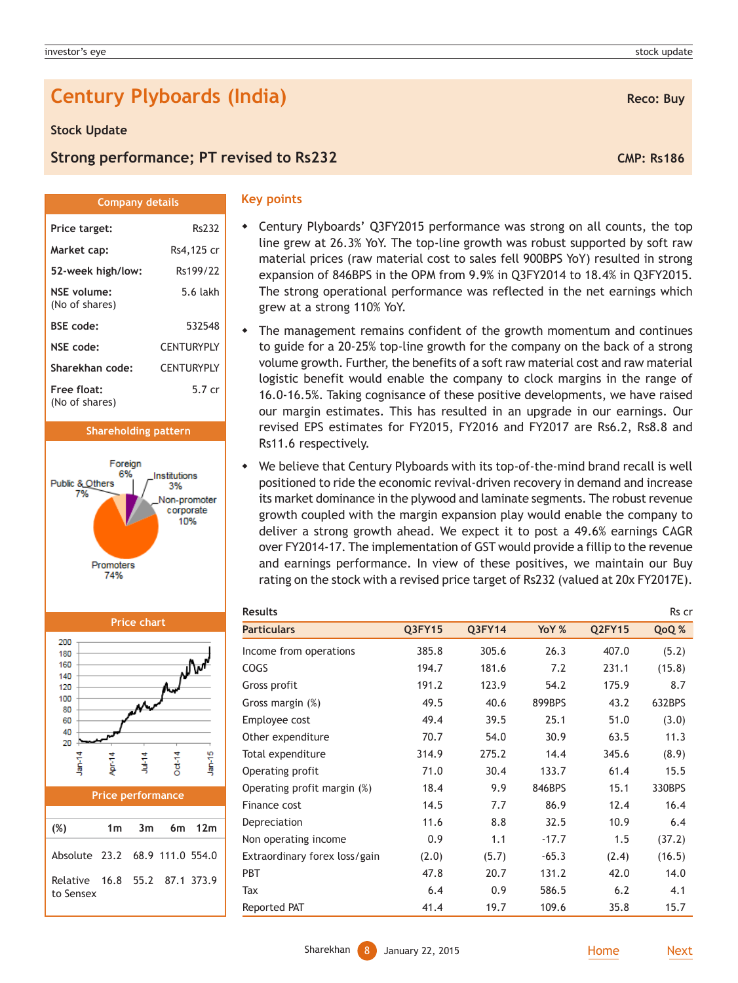# **Century Plyboards (India) Reco: Buy Reco: Buy**

**Company details**

Price target: Rs232 **Market cap:** Rs4,125 cr **52-week high/low:** Rs199/22 **NSE volume:** 5.6 lakh

**BSE code:** 532548 **NSE code:** CENTURYPLY **Sharekhan code:** CENTURYPLY **Free float:** 5.7 cr

**Shareholding pattern**

Institutions

3% Ion-promoter corporate 10%

Foreign

Promoters 74%

### **Stock Update**

(No of shares)

(No of shares)

Public & Others

# **Strong performance; PT revised to Rs232 CMP: Rs186 CMP: Rs186**

#### **Key points**

- Century Plyboards' Q3FY2015 performance was strong on all counts, the top line grew at 26.3% YoY. The top-line growth was robust supported by soft raw material prices (raw material cost to sales fell 900BPS YoY) resulted in strong expansion of 846BPS in the OPM from 9.9% in Q3FY2014 to 18.4% in Q3FY2015. The strong operational performance was reflected in the net earnings which grew at a strong 110% YoY.
- The management remains confident of the growth momentum and continues to guide for a 20-25% top-line growth for the company on the back of a strong volume growth. Further, the benefits of a soft raw material cost and raw material logistic benefit would enable the company to clock margins in the range of 16.0-16.5%. Taking cognisance of these positive developments, we have raised our margin estimates. This has resulted in an upgrade in our earnings. Our revised EPS estimates for FY2015, FY2016 and FY2017 are Rs6.2, Rs8.8 and Rs11.6 respectively.
- We believe that Century Plyboards with its top-of-the-mind brand recall is well positioned to ride the economic revival-driven recovery in demand and increase its market dominance in the plywood and laminate segments. The robust revenue growth coupled with the margin expansion play would enable the company to deliver a strong growth ahead. We expect it to post a 49.6% earnings CAGR over FY2014-17. The implementation of GST would provide a fillip to the revenue and earnings performance. In view of these positives, we maintain our Buy rating on the stock with a revised price target of Rs232 (valued at 20x FY2017E).

| <b>Results</b>                |        |               |         |               | Rs cr  |
|-------------------------------|--------|---------------|---------|---------------|--------|
| <b>Particulars</b>            | Q3FY15 | <b>Q3FY14</b> | YoY %   | <b>Q2FY15</b> | QoQ %  |
| Income from operations        | 385.8  | 305.6         | 26.3    | 407.0         | (5.2)  |
| COGS                          | 194.7  | 181.6         | 7.2     | 231.1         | (15.8) |
| Gross profit                  | 191.2  | 123.9         | 54.2    | 175.9         | 8.7    |
| Gross margin (%)              | 49.5   | 40.6          | 899BPS  | 43.2          | 632BPS |
| Employee cost                 | 49.4   | 39.5          | 25.1    | 51.0          | (3.0)  |
| Other expenditure             | 70.7   | 54.0          | 30.9    | 63.5          | 11.3   |
| Total expenditure             | 314.9  | 275.2         | 14.4    | 345.6         | (8.9)  |
| Operating profit              | 71.0   | 30.4          | 133.7   | 61.4          | 15.5   |
| Operating profit margin (%)   | 18.4   | 9.9           | 846BPS  | 15.1          | 330BPS |
| Finance cost                  | 14.5   | 7.7           | 86.9    | 12.4          | 16.4   |
| Depreciation                  | 11.6   | 8.8           | 32.5    | 10.9          | 6.4    |
| Non operating income          | 0.9    | 1.1           | $-17.7$ | 1.5           | (37.2) |
| Extraordinary forex loss/gain | (2.0)  | (5.7)         | $-65.3$ | (2.4)         | (16.5) |
| <b>PBT</b>                    | 47.8   | 20.7          | 131.2   | 42.0          | 14.0   |
| Tax                           | 6.4    | 0.9           | 586.5   | 6.2           | 4.1    |
| Reported PAT                  | 41.4   | 19.7          | 109.6   | 35.8          | 15.7   |



| (%)                                                             |  | 1m 3m 6m 12m |  |
|-----------------------------------------------------------------|--|--------------|--|
| Absolute 23.2 68.9 111.0 554.0<br>Relative 16.8 55.2 87.1 373.9 |  |              |  |
| to Sensex                                                       |  |              |  |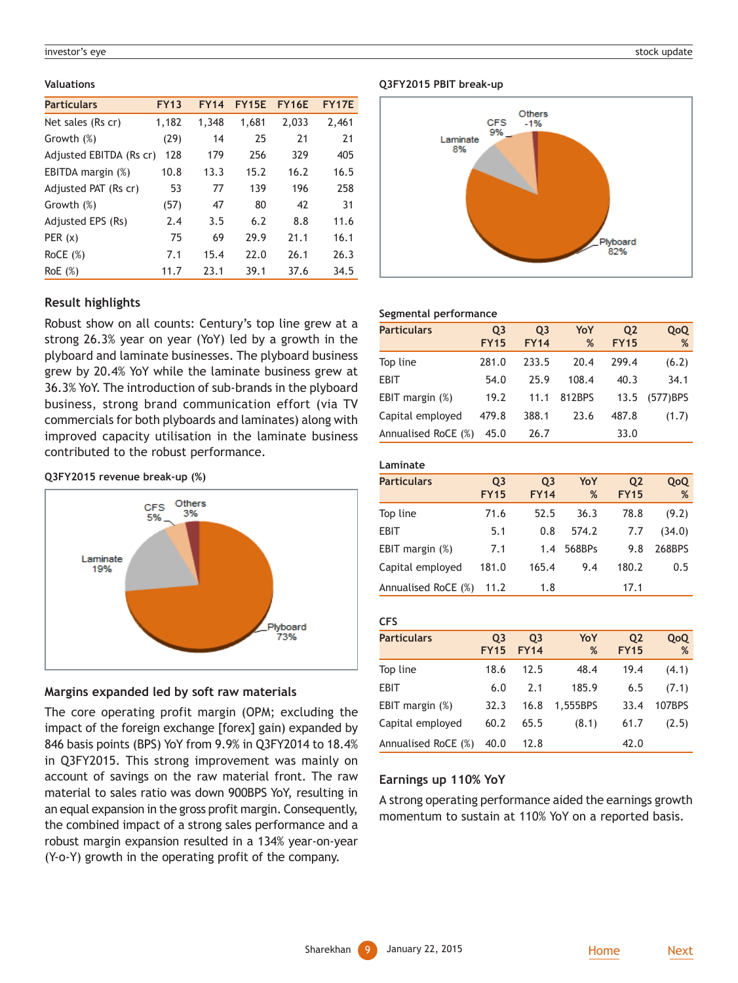#### investor's eye stock update the stock update of the stock update stock update stock update stock update stock update

#### **Valuations**

| <b>Particulars</b>      | <b>FY13</b> | <b>FY14</b> | <b>FY15E</b> | <b>FY16E</b> | <b>FY17E</b> |
|-------------------------|-------------|-------------|--------------|--------------|--------------|
| Net sales (Rs cr)       | 1,182       | 1,348       | 1,681        | 2,033        | 2,461        |
| Growth (%)              | (29)        | 14          | 25           | 21           | 21           |
| Adjusted EBITDA (Rs cr) | 128         | 179         | 256          | 329          | 405          |
| EBITDA margin (%)       | 10.8        | 13.3        | 15.2         | 16.2         | 16.5         |
| Adjusted PAT (Rs cr)    | 53          | 77          | 139          | 196          | 258          |
| Growth (%)              | (57)        | 47          | 80           | 42           | 31           |
| Adjusted EPS (Rs)       | 2.4         | 3.5         | 6.2          | 8.8          | 11.6         |
| PER(x)                  | 75          | 69          | 29.9         | 21.1         | 16.1         |
| RoCE $(\%)$             | 7.1         | 15.4        | 22.0         | 26.1         | 26.3         |
| RoE(%)                  | 11.7        | 23.1        | 39.1         | 37.6         | 34.5         |

# **Result highlights**

Robust show on all counts: Century's top line grew at a strong 26.3% year on year (YoY) led by a growth in the plyboard and laminate businesses. The plyboard business grew by 20.4% YoY while the laminate business grew at 36.3% YoY. The introduction of sub-brands in the plyboard business, strong brand communication effort (via TV commercials for both plyboards and laminates) along with improved capacity utilisation in the laminate business contributed to the robust performance.

**Q3FY2015 revenue break-up (%)**



# **Margins expanded led by soft raw materials**

The core operating profit margin (OPM; excluding the impact of the foreign exchange [forex] gain) expanded by 846 basis points (BPS) YoY from 9.9% in Q3FY2014 to 18.4% in Q3FY2015. This strong improvement was mainly on account of savings on the raw material front. The raw material to sales ratio was down 900BPS YoY, resulting in an equal expansion in the gross profit margin. Consequently, the combined impact of a strong sales performance and a robust margin expansion resulted in a 134% year-on-year (Y-o-Y) growth in the operating profit of the company.

### **Q3FY2015 PBIT break-up**



## **Segmental performance**

| <b>Particulars</b>  | Q <sub>3</sub><br><b>FY15</b> | Q <sub>3</sub><br><b>FY14</b> | YoY<br>% | Q <sub>2</sub><br><b>FY15</b> | QoQ<br>%    |
|---------------------|-------------------------------|-------------------------------|----------|-------------------------------|-------------|
| Top line            | 281.0                         | 233.5                         | 20.4     | 299.4                         | (6.2)       |
| <b>EBIT</b>         | 54.0                          | 25.9                          | 108.4    | 40.3                          | 34.1        |
| EBIT margin $(\%)$  | 19.2                          | 11.1                          | 812BPS   | 13.5                          | $(577)$ BPS |
| Capital employed    | 479.8                         | 388.1                         | 23.6     | 487.8                         | (1.7)       |
| Annualised RoCE (%) | 45.0                          | 26.7                          |          | 33.0                          |             |

| Laminate            |                               |                               |          |                               |          |  |
|---------------------|-------------------------------|-------------------------------|----------|-------------------------------|----------|--|
| <b>Particulars</b>  | Q <sub>3</sub><br><b>FY15</b> | Q <sub>3</sub><br><b>FY14</b> | YoY<br>% | Q <sub>2</sub><br><b>FY15</b> | QoQ<br>% |  |
| Top line            | 71.6                          | 52.5                          | 36.3     | 78.8                          | (9.2)    |  |
| <b>EBIT</b>         | 5.1                           | 0.8                           | 574.2    | 7.7                           | (34.0)   |  |
| EBIT margin $(\%)$  | 7.1                           | 1.4                           | 568BPs   | 9.8                           | 268BPS   |  |
| Capital employed    | 181.0                         | 165.4                         | 9.4      | 180.2                         | 0.5      |  |
| Annualised RoCE (%) | 11.2                          | 1.8                           |          | 17.1                          |          |  |

| <b>CFS</b>          |                          |                               |          |                               |          |
|---------------------|--------------------------|-------------------------------|----------|-------------------------------|----------|
| <b>Particulars</b>  | <b>O3</b><br><b>FY15</b> | Q <sub>3</sub><br><b>FY14</b> | YoY<br>% | Q <sub>2</sub><br><b>FY15</b> | QoQ<br>% |
| Top line            | 18.6                     | 12.5                          | 48.4     | 19.4                          | (4.1)    |
| <b>EBIT</b>         | 6.0                      | 2.1                           | 185.9    | 6.5                           | (7.1)    |
| EBIT margin (%)     | 32.3                     | 16.8                          | 1,555BPS | 33.4                          | 107BPS   |
| Capital employed    | 60.2                     | 65.5                          | (8.1)    | 61.7                          | (2.5)    |
| Annualised RoCE (%) | 40.0                     | 12.8                          |          | 42.0                          |          |

### **Earnings up 110% YoY**

A strong operating performance aided the earnings growth momentum to sustain at 110% YoY on a reported basis.